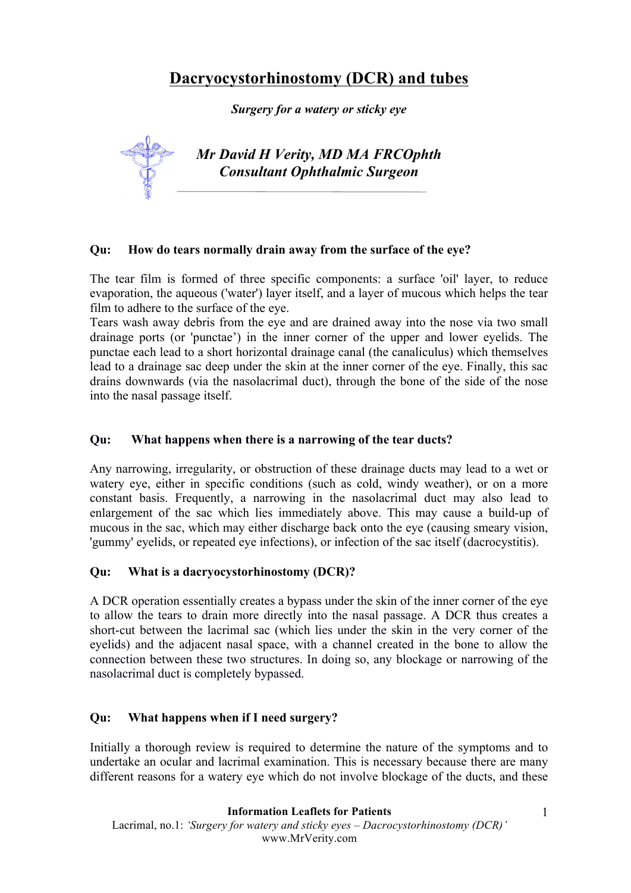# **Dacryocystorhinostomy (DCR) and tubes**

*Surgery for a watery or sticky eye*

*Mr David H Verity, MD MA FRCOphth Consultant Ophthalmic Surgeon*

#### **Qu: How do tears normally drain away from the surface of the eye?**

The tear film is formed of three specific components: a surface 'oil' layer, to reduce evaporation, the aqueous ('water') layer itself, and a layer of mucous which helps the tear film to adhere to the surface of the eye.

Tears wash away debris from the eye and are drained away into the nose via two small drainage ports (or 'punctae') in the inner corner of the upper and lower eyelids. The punctae each lead to a short horizontal drainage canal (the canaliculus) which themselves lead to a drainage sac deep under the skin at the inner corner of the eye. Finally, this sac drains downwards (via the nasolacrimal duct), through the bone of the side of the nose into the nasal passage itself.

## **Qu: What happens when there is a narrowing of the tear ducts?**

Any narrowing, irregularity, or obstruction of these drainage ducts may lead to a wet or watery eye, either in specific conditions (such as cold, windy weather), or on a more constant basis. Frequently, a narrowing in the nasolacrimal duct may also lead to enlargement of the sac which lies immediately above. This may cause a build-up of mucous in the sac, which may either discharge back onto the eye (causing smeary vision, 'gummy' eyelids, or repeated eye infections), or infection of the sac itself (dacrocystitis).

## **Qu: What is a dacryocystorhinostomy (DCR)?**

A DCR operation essentially creates a bypass under the skin of the inner corner of the eye to allow the tears to drain more directly into the nasal passage. A DCR thus creates a short-cut between the lacrimal sac (which lies under the skin in the very corner of the eyelids) and the adjacent nasal space, with a channel created in the bone to allow the connection between these two structures. In doing so, any blockage or narrowing of the nasolacrimal duct is completely bypassed.

## **Qu: What happens when if I need surgery?**

Initially a thorough review is required to determine the nature of the symptoms and to undertake an ocular and lacrimal examination. This is necessary because there are many different reasons for a watery eye which do not involve blockage of the ducts, and these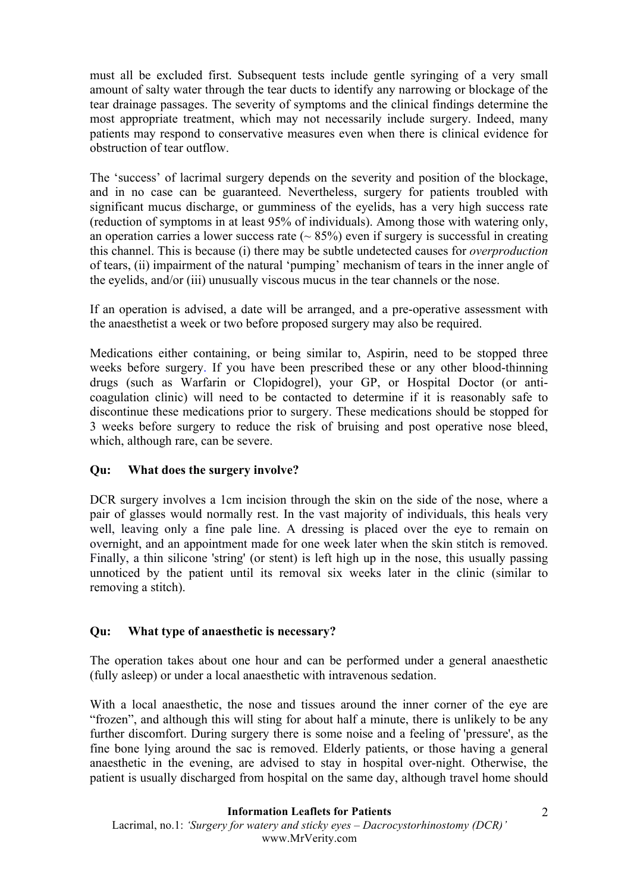must all be excluded first. Subsequent tests include gentle syringing of a very small amount of salty water through the tear ducts to identify any narrowing or blockage of the tear drainage passages. The severity of symptoms and the clinical findings determine the most appropriate treatment, which may not necessarily include surgery. Indeed, many patients may respond to conservative measures even when there is clinical evidence for obstruction of tear outflow.

The 'success' of lacrimal surgery depends on the severity and position of the blockage, and in no case can be guaranteed. Nevertheless, surgery for patients troubled with significant mucus discharge, or gumminess of the eyelids, has a very high success rate (reduction of symptoms in at least 95% of individuals). Among those with watering only, an operation carries a lower success rate  $(~85%)$  even if surgery is successful in creating this channel. This is because (i) there may be subtle undetected causes for *overproduction* of tears, (ii) impairment of the natural 'pumping' mechanism of tears in the inner angle of the eyelids, and/or (iii) unusually viscous mucus in the tear channels or the nose.

If an operation is advised, a date will be arranged, and a pre-operative assessment with the anaesthetist a week or two before proposed surgery may also be required.

Medications either containing, or being similar to, Aspirin, need to be stopped three weeks before surgery. If you have been prescribed these or any other blood-thinning drugs (such as Warfarin or Clopidogrel), your GP, or Hospital Doctor (or anticoagulation clinic) will need to be contacted to determine if it is reasonably safe to discontinue these medications prior to surgery. These medications should be stopped for 3 weeks before surgery to reduce the risk of bruising and post operative nose bleed, which, although rare, can be severe.

## **Qu: What does the surgery involve?**

DCR surgery involves a 1cm incision through the skin on the side of the nose, where a pair of glasses would normally rest. In the vast majority of individuals, this heals very well, leaving only a fine pale line. A dressing is placed over the eye to remain on overnight, and an appointment made for one week later when the skin stitch is removed. Finally, a thin silicone 'string' (or stent) is left high up in the nose, this usually passing unnoticed by the patient until its removal six weeks later in the clinic (similar to removing a stitch).

#### **Qu: What type of anaesthetic is necessary?**

The operation takes about one hour and can be performed under a general anaesthetic (fully asleep) or under a local anaesthetic with intravenous sedation.

With a local anaesthetic, the nose and tissues around the inner corner of the eye are "frozen", and although this will sting for about half a minute, there is unlikely to be any further discomfort. During surgery there is some noise and a feeling of 'pressure', as the fine bone lying around the sac is removed. Elderly patients, or those having a general anaesthetic in the evening, are advised to stay in hospital over-night. Otherwise, the patient is usually discharged from hospital on the same day, although travel home should

#### **Information Leaflets for Patients**

Lacrimal, no.1: *'Surgery for watery and sticky eyes – Dacrocystorhinostomy (DCR)'* www.MrVerity.com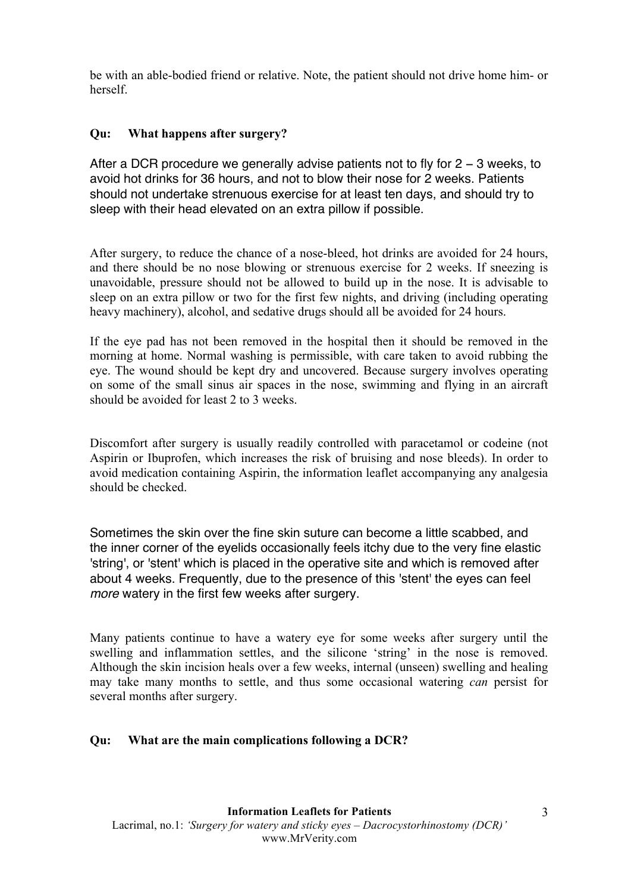be with an able-bodied friend or relative. Note, the patient should not drive home him- or herself.

## **Qu: What happens after surgery?**

After a DCR procedure we generally advise patients not to fly for 2 − 3 weeks, to avoid hot drinks for 36 hours, and not to blow their nose for 2 weeks. Patients should not undertake strenuous exercise for at least ten days, and should try to sleep with their head elevated on an extra pillow if possible.

After surgery, to reduce the chance of a nose-bleed, hot drinks are avoided for 24 hours, and there should be no nose blowing or strenuous exercise for 2 weeks. If sneezing is unavoidable, pressure should not be allowed to build up in the nose. It is advisable to sleep on an extra pillow or two for the first few nights, and driving (including operating heavy machinery), alcohol, and sedative drugs should all be avoided for 24 hours.

If the eye pad has not been removed in the hospital then it should be removed in the morning at home. Normal washing is permissible, with care taken to avoid rubbing the eye. The wound should be kept dry and uncovered. Because surgery involves operating on some of the small sinus air spaces in the nose, swimming and flying in an aircraft should be avoided for least 2 to 3 weeks.

Discomfort after surgery is usually readily controlled with paracetamol or codeine (not Aspirin or Ibuprofen, which increases the risk of bruising and nose bleeds). In order to avoid medication containing Aspirin, the information leaflet accompanying any analgesia should be checked.

Sometimes the skin over the fine skin suture can become a little scabbed, and the inner corner of the eyelids occasionally feels itchy due to the very fine elastic 'string', or 'stent' which is placed in the operative site and which is removed after about 4 weeks. Frequently, due to the presence of this 'stent' the eyes can feel *more* watery in the first few weeks after surgery.

Many patients continue to have a watery eye for some weeks after surgery until the swelling and inflammation settles, and the silicone 'string' in the nose is removed. Although the skin incision heals over a few weeks, internal (unseen) swelling and healing may take many months to settle, and thus some occasional watering *can* persist for several months after surgery.

## **Qu: What are the main complications following a DCR?**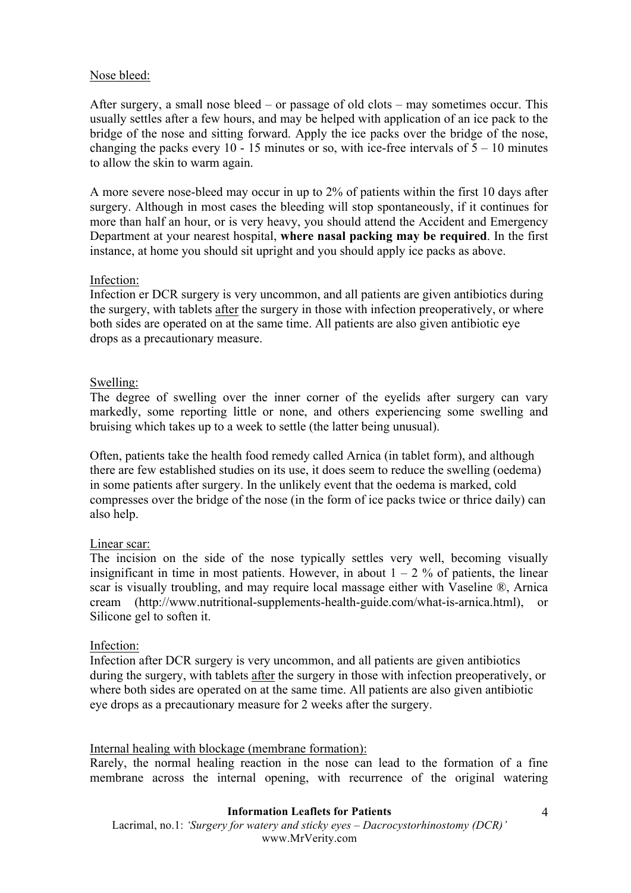#### Nose bleed:

After surgery, a small nose bleed – or passage of old clots – may sometimes occur. This usually settles after a few hours, and may be helped with application of an ice pack to the bridge of the nose and sitting forward. Apply the ice packs over the bridge of the nose, changing the packs every 10 - 15 minutes or so, with ice-free intervals of  $5 - 10$  minutes to allow the skin to warm again.

A more severe nose-bleed may occur in up to 2% of patients within the first 10 days after surgery. Although in most cases the bleeding will stop spontaneously, if it continues for more than half an hour, or is very heavy, you should attend the Accident and Emergency Department at your nearest hospital, **where nasal packing may be required**. In the first instance, at home you should sit upright and you should apply ice packs as above.

#### Infection:

Infection er DCR surgery is very uncommon, and all patients are given antibiotics during the surgery, with tablets after the surgery in those with infection preoperatively, or where both sides are operated on at the same time. All patients are also given antibiotic eye drops as a precautionary measure.

#### Swelling:

The degree of swelling over the inner corner of the eyelids after surgery can vary markedly, some reporting little or none, and others experiencing some swelling and bruising which takes up to a week to settle (the latter being unusual).

Often, patients take the health food remedy called Arnica (in tablet form), and although there are few established studies on its use, it does seem to reduce the swelling (oedema) in some patients after surgery. In the unlikely event that the oedema is marked, cold compresses over the bridge of the nose (in the form of ice packs twice or thrice daily) can also help.

#### Linear scar:

The incision on the side of the nose typically settles very well, becoming visually insignificant in time in most patients. However, in about  $1 - 2$  % of patients, the linear scar is visually troubling, and may require local massage either with Vaseline ®, Arnica cream (http://www.nutritional-supplements-health-guide.com/what-is-arnica.html), or Silicone gel to soften it.

#### Infection:

Infection after DCR surgery is very uncommon, and all patients are given antibiotics during the surgery, with tablets after the surgery in those with infection preoperatively, or where both sides are operated on at the same time. All patients are also given antibiotic eye drops as a precautionary measure for 2 weeks after the surgery.

#### Internal healing with blockage (membrane formation):

Rarely, the normal healing reaction in the nose can lead to the formation of a fine membrane across the internal opening, with recurrence of the original watering

#### **Information Leaflets for Patients**

Lacrimal, no.1: *'Surgery for watery and sticky eyes – Dacrocystorhinostomy (DCR)'* www.MrVerity.com